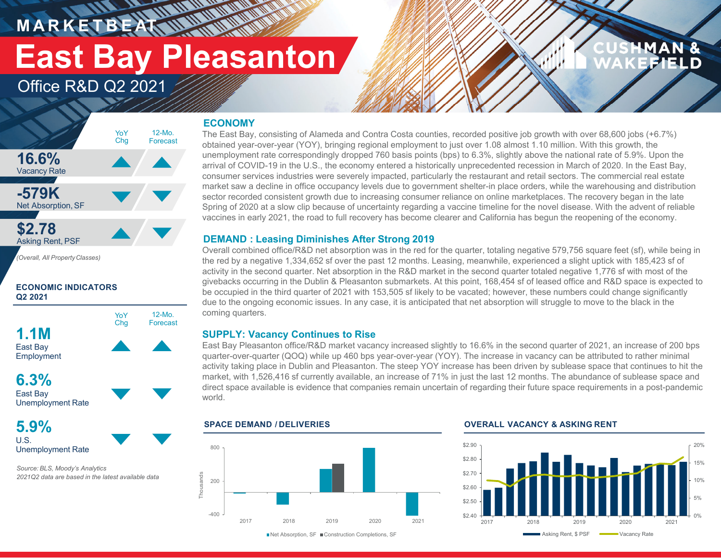# **East Bay Pleasanton**

 $M$  M m

### Office R&D Q2 2021

#### **ECONOMY**

**HARRY AND AN** 



**ECONOMIC INDICATORS Q2 2021**



**6.3%**East Bay Unemployment Rate

**5.9%**U.S.

Unemployment Rate

*Source: BLS, Moody's Analytics 2021Q2 data are based in the latest available data* The East Bay, consisting of Alameda and Contra Costa counties, recorded positive job growth with over 68,600 jobs (+6.7%) obtained year-over-year (YOY), bringing regional employment to just over 1.08 almost 1.10 million. With this growth, the unemployment rate correspondingly dropped 760 basis points (bps) to 6.3%, slightly above the national rate of 5.9%. Upon the arrival of COVID-19 in the U.S., the economy entered a historically unprecedented recession in March of 2020. In the East Bay, consumer services industries were severely impacted, particularly the restaurant and retail sectors. The commercial real estate market saw a decline in office occupancy levels due to government shelter-in place orders, while the warehousing and distribution sector recorded consistent growth due to increasing consumer reliance on online marketplaces. The recovery began in the late Spring of 2020 at a slow clip because of uncertainty regarding a vaccine timeline for the novel disease. With the advent of reliable vaccines in early 2021, the road to full recovery has become clearer and California has begun the reopening of the economy.

#### **DEMAND : Leasing Diminishes After Strong 2019**

Overall combined office/R&D net absorption was in the red for the quarter, totaling negative 579,756 square feet (sf), while being in the red by a negative 1,334,652 sf over the past 12 months. Leasing, meanwhile, experienced a slight uptick with 185,423 sf of activity in the second quarter. Net absorption in the R&D market in the second quarter totaled negative 1,776 sf with most of the givebacks occurring in the Dublin & Pleasanton submarkets. At this point, 168,454 sf of leased office and R&D space is expected to be occupied in the third quarter of 2021 with 153,505 sf likely to be vacated; however, these numbers could change significantly due to the ongoing economic issues. In any case, it is anticipated that net absorption will struggle to move to the black in the coming quarters.

#### **SUPPLY: Vacancy Continues to Rise**

East Bay Pleasanton office/R&D market vacancy increased slightly to 16.6% in the second quarter of 2021, an increase of 200 bps quarter-over-quarter (QOQ) while up 460 bps year-over-year (YOY). The increase in vacancy can be attributed to rather minimal activity taking place in Dublin and Pleasanton. The steep YOY increase has been driven by sublease space that continues to hit the market, with 1,526,416 sf currently available, an increase of 71% in just the last 12 months. The abundance of sublease space and direct space available is evidence that companies remain uncertain of regarding their future space requirements in a post-pandemic world.





■Net Absorption, SF ■ Construction Completions, SF

#### **SPACE DEMAND / DELIVERIES OVERALL VACANCY & ASKING RENT**



MAN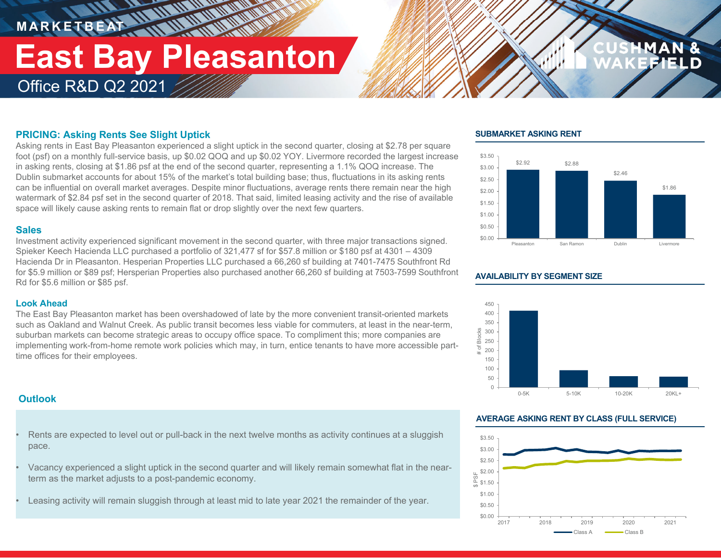### Office R&D Q2 2021 **East Bay Pleasanton**

**TO MARKING MARKING** 

#### **PRICING: Asking Rents See Slight Uptick**

Asking rents in East Bay Pleasanton experienced a slight uptick in the second quarter, closing at \$2.78 per square foot (psf) on a monthly full-service basis, up \$0.02 QOQ and up \$0.02 YOY. Livermore recorded the largest increase in asking rents, closing at \$1.86 psf at the end of the second quarter, representing a 1.1% QOQ increase. The Dublin submarket accounts for about 15% of the market's total building base; thus, fluctuations in its asking rents can be influential on overall market averages. Despite minor fluctuations, average rents there remain near the high watermark of \$2.84 psf set in the second quarter of 2018. That said, limited leasing activity and the rise of available space will likely cause asking rents to remain flat or drop slightly over the next few quarters.

#### **Sales**

Investment activity experienced significant movement in the second quarter, with three major transactions signed. Spieker Keech Hacienda LLC purchased a portfolio of 321,477 sf for \$57.8 million or \$180 psf at 4301 – 4309 Hacienda Dr in Pleasanton. Hesperian Properties LLC purchased a 66,260 sf building at 7401-7475 Southfront Rd for \$5.9 million or \$89 psf; Hersperian Properties also purchased another 66,260 sf building at 7503-7599 Southfront Rd for \$5.6 million or \$85 psf.

#### **Look Ahead**

The East Bay Pleasanton market has been overshadowed of late by the more convenient transit-oriented markets such as Oakland and Walnut Creek. As public transit becomes less viable for commuters, at least in the near-term, suburban markets can become strategic areas to occupy office space. To compliment this; more companies are implementing work-from-home remote work policies which may, in turn, entice tenants to have more accessible parttime offices for their employees.

#### **Outlook**

- Rents are expected to level out or pull-back in the next twelve months as activity continues at a sluggish pace.
- Vacancy experienced a slight uptick in the second quarter and will likely remain somewhat flat in the nearterm as the market adjusts to a post-pandemic economy.
- Leasing activity will remain sluggish through at least mid to late year 2021 the remainder of the year.

#### **SUBMARKET ASKING RENT**



#### **AVAILABILITY BY SEGMENT SIZE**



#### **AVERAGE ASKING RENT BY CLASS (FULL SERVICE)**

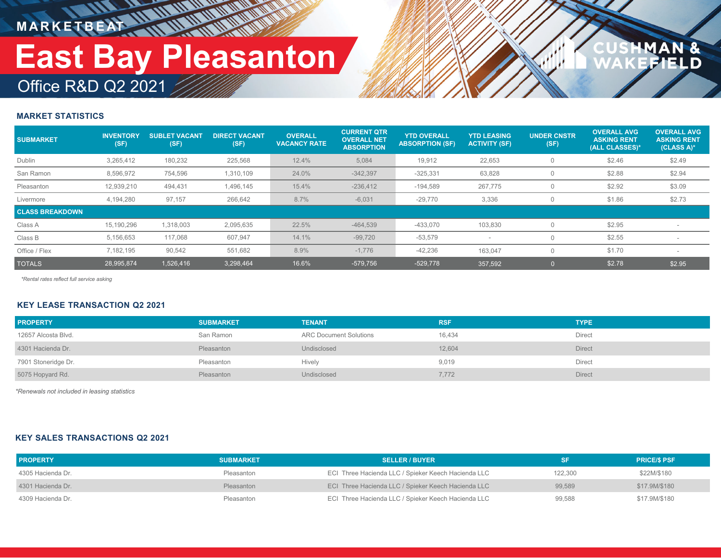## Office R&D Q2 2021 **East Bay Pleasanton**

### $\frac{a}{D}$

#### **MARKET STATISTICS**

| <b>SUBMARKET</b>       | <b>INVENTORY</b><br>(SF) | <b>SUBLET VACANT</b><br>(SF) | <b>DIRECT VACANT</b><br>(SF) | <b>OVERALL</b><br><b>VACANCY RATE</b> | <b>CURRENT QTR</b><br><b>OVERALL NET</b><br><b>ABSORPTION</b> | <b>YTD OVERALL</b><br><b>ABSORPTION (SF)</b> | <b>YTD LEASING</b><br><b>ACTIVITY (SF)</b> | <b>UNDER CNSTR</b><br>(SF) | <b>OVERALL AVG</b><br><b>ASKING RENT</b><br>(ALL CLASSES)* | <b>OVERALL AVG</b><br><b>ASKING RENT</b><br>(CLASS A)* |
|------------------------|--------------------------|------------------------------|------------------------------|---------------------------------------|---------------------------------------------------------------|----------------------------------------------|--------------------------------------------|----------------------------|------------------------------------------------------------|--------------------------------------------------------|
| Dublin                 | 3,265,412                | 180,232                      | 225,568                      | 12.4%                                 | 5,084                                                         | 19,912                                       | 22,653                                     | $\Omega$                   | \$2.46                                                     | \$2.49                                                 |
| San Ramon              | 8.596.972                | 754,596                      | 1,310,109                    | 24.0%                                 | $-342,397$                                                    | $-325,331$                                   | 63,828                                     | $\Omega$                   | \$2.88                                                     | \$2.94                                                 |
| Pleasanton             | 12,939,210               | 494,431                      | 1,496,145                    | 15.4%                                 | $-236,412$                                                    | $-194,589$                                   | 267,775                                    | $\Omega$                   | \$2.92                                                     | \$3.09                                                 |
| Livermore              | 4,194,280                | 97,157                       | 266,642                      | 8.7%                                  | $-6,031$                                                      | $-29,770$                                    | 3,336                                      | $\Omega$                   | \$1.86                                                     | \$2.73                                                 |
| <b>CLASS BREAKDOWN</b> |                          |                              |                              |                                       |                                                               |                                              |                                            |                            |                                                            |                                                        |
| Class A                | 15,190,296               | 1,318,003                    | 2,095,635                    | 22.5%                                 | $-464,539$                                                    | $-433,070$                                   | 103,830                                    | $\Omega$                   | \$2.95                                                     |                                                        |
| Class B                | 5,156,653                | 117,068                      | 607,947                      | 14.1%                                 | $-99,720$                                                     | $-53,579$                                    |                                            | $\Omega$                   | \$2.55                                                     |                                                        |
| Office / Flex          | 7,182,195                | 90,542                       | 551,682                      | 8.9%                                  | $-1,776$                                                      | $-42,236$                                    | 163,047                                    | $\Omega$                   | \$1.70                                                     |                                                        |
| <b>TOTALS</b>          | 28.995.874               | 1,526,416                    | 3,298,464                    | 16.6%                                 | $-579.756$                                                    | $-529,778$                                   | 357.592                                    |                            | \$2.78                                                     | \$2.95                                                 |

*\*Rental rates reflect full service asking*

#### **KEY LEASE TRANSACTION Q2 2021**

| <b>PROPERTY</b>     | <b>SUBMARKET</b> | <b>TENANT</b>                 | <b>RSF</b> | TYPE '        |
|---------------------|------------------|-------------------------------|------------|---------------|
| 12657 Alcosta Blvd. | San Ramon        | <b>ARC Document Solutions</b> | 16,434     | Direct        |
| 4301 Hacienda Dr.   | Pleasanton       | Undisclosed                   | 12,604     | <b>Direct</b> |
| 7901 Stoneridge Dr. | Pleasanton       | <b>Hively</b>                 | 9,019      | Direct        |
| 5075 Hopyard Rd.    | Pleasanton       | Undisclosed                   | 7,772      | <b>Direct</b> |

*\*Renewals not included in leasing statistics*

#### **KEY SALES TRANSACTIONS Q2 2021**

| <b>PROPERTY</b>   | <b>SUBMARKET</b> | <b>SELLER / BUYER</b>                               |         | <b>PRICE/S PSF</b> |
|-------------------|------------------|-----------------------------------------------------|---------|--------------------|
| 4305 Hacienda Dr. | Pleasanton       | ECI Three Hacienda LLC / Spieker Keech Hacienda LLC | 122,300 | \$22M/\$180        |
| 4301 Hacienda Dr. | Pleasanton       | ECI Three Hacienda LLC / Spieker Keech Hacienda LLC | 99.589  | \$17.9M/\$180      |
| 4309 Hacienda Dr. | Pleasanton       | ECI Three Hacienda LLC / Spieker Keech Hacienda LLC | 99.588  | \$17.9M/\$180      |